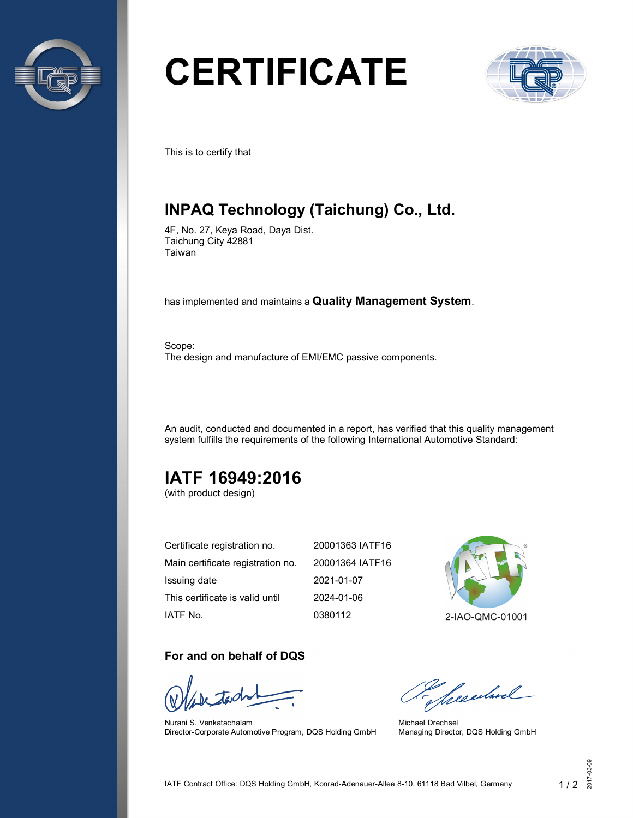

# **CERTIFICATE**



This is to certify that

# **INPAQ Technology (Taichung) Co., Ltd.**

4F, No. 27, Keya Road, Daya Dist. Taichung City 42881 Taiwan

has implemented and maintains a **Quality Management System**.

Scope: The design and manufacture of EMI/EMC passive components.

An audit, conducted and documented in a report, has verified that this quality management system fulfills the requirements of the following International Automotive Standard:

# **IATF 16949:2016**

(with product design)

| Certificate registration no.      | 20001363 IATF16 |
|-----------------------------------|-----------------|
| Main certificate registration no. | 20001364 IATF16 |
| Issuing date                      | 2021-01-07      |
| This certificate is valid until   | 2024-01-06      |
| IATF No.                          | 0380112         |

2-IAO-QMC-01001

#### **For and on behalf of DQS**

Nurani S. Venkatachalam Director-Corporate Automotive Program, DQS Holding GmbH

Sheedwel

Michael Drechsel Managing Director, DQS Holding GmbH